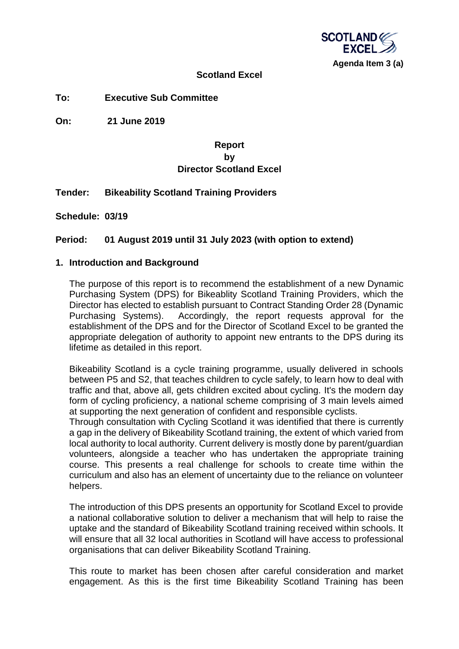

#### **Scotland Excel**

**To: Executive Sub Committee**

**On: 21 June 2019**

# **Report by Director Scotland Excel**

## **Tender: Bikeability Scotland Training Providers**

**Schedule: 03/19**

## **Period: 01 August 2019 until 31 July 2023 (with option to extend)**

#### **1. Introduction and Background**

The purpose of this report is to recommend the establishment of a new Dynamic Purchasing System (DPS) for Bikeablity Scotland Training Providers, which the Director has elected to establish pursuant to Contract Standing Order 28 (Dynamic Purchasing Systems). Accordingly, the report requests approval for the establishment of the DPS and for the Director of Scotland Excel to be granted the appropriate delegation of authority to appoint new entrants to the DPS during its lifetime as detailed in this report.

Bikeability Scotland is a cycle training programme, usually delivered in schools between P5 and S2, that teaches children to cycle safely, to learn how to deal with traffic and that, above all, gets children excited about cycling. It's the modern day form of cycling proficiency, a national scheme comprising of 3 main levels aimed at supporting the next generation of confident and responsible cyclists.

Through consultation with Cycling Scotland it was identified that there is currently a gap in the delivery of Bikeability Scotland training, the extent of which varied from local authority to local authority. Current delivery is mostly done by parent/guardian volunteers, alongside a teacher who has undertaken the appropriate training course. This presents a real challenge for schools to create time within the curriculum and also has an element of uncertainty due to the reliance on volunteer helpers.

The introduction of this DPS presents an opportunity for Scotland Excel to provide a national collaborative solution to deliver a mechanism that will help to raise the uptake and the standard of Bikeability Scotland training received within schools. It will ensure that all 32 local authorities in Scotland will have access to professional organisations that can deliver Bikeability Scotland Training.

This route to market has been chosen after careful consideration and market engagement. As this is the first time Bikeability Scotland Training has been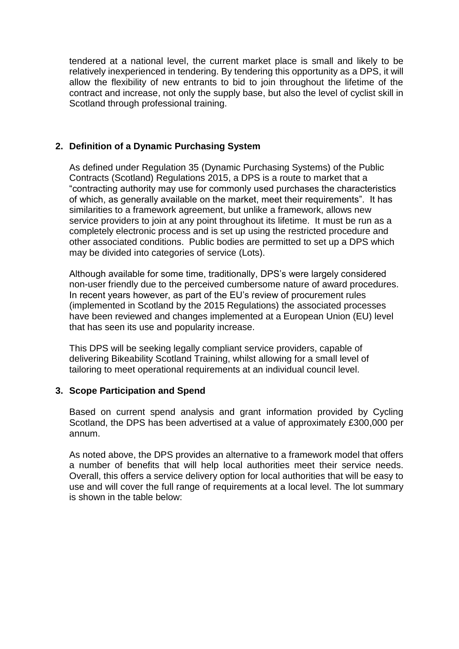tendered at a national level, the current market place is small and likely to be relatively inexperienced in tendering. By tendering this opportunity as a DPS, it will allow the flexibility of new entrants to bid to join throughout the lifetime of the contract and increase, not only the supply base, but also the level of cyclist skill in Scotland through professional training.

## **2. Definition of a Dynamic Purchasing System**

As defined under Regulation 35 (Dynamic Purchasing Systems) of the Public Contracts (Scotland) Regulations 2015, a DPS is a route to market that a "contracting authority may use for commonly used purchases the characteristics of which, as generally available on the market, meet their requirements". It has similarities to a framework agreement, but unlike a framework, allows new service providers to join at any point throughout its lifetime. It must be run as a completely electronic process and is set up using the restricted procedure and other associated conditions. Public bodies are permitted to set up a DPS which may be divided into categories of service (Lots).

Although available for some time, traditionally, DPS's were largely considered non-user friendly due to the perceived cumbersome nature of award procedures. In recent years however, as part of the EU's review of procurement rules (implemented in Scotland by the 2015 Regulations) the associated processes have been reviewed and changes implemented at a European Union (EU) level that has seen its use and popularity increase.

This DPS will be seeking legally compliant service providers, capable of delivering Bikeability Scotland Training, whilst allowing for a small level of tailoring to meet operational requirements at an individual council level.

## **3. Scope Participation and Spend**

Based on current spend analysis and grant information provided by Cycling Scotland, the DPS has been advertised at a value of approximately £300,000 per annum.

As noted above, the DPS provides an alternative to a framework model that offers a number of benefits that will help local authorities meet their service needs. Overall, this offers a service delivery option for local authorities that will be easy to use and will cover the full range of requirements at a local level. The lot summary is shown in the table below: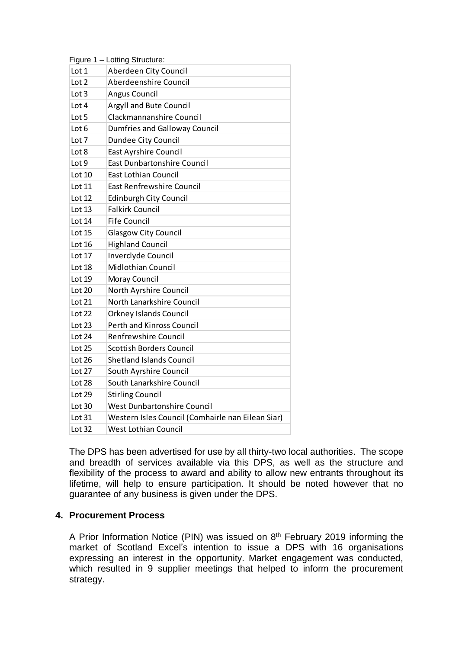|          | Figure 1 - Lotting Structure:                     |
|----------|---------------------------------------------------|
| Lot 1    | Aberdeen City Council                             |
| Lot 2    | Aberdeenshire Council                             |
| Lot 3    | <b>Angus Council</b>                              |
| Lot 4    | Argyll and Bute Council                           |
| Lot 5    | Clackmannanshire Council                          |
| Lot 6    | <b>Dumfries and Galloway Council</b>              |
| Lot 7    | Dundee City Council                               |
| Lot 8    | <b>East Ayrshire Council</b>                      |
| Lot 9    | <b>East Dunbartonshire Council</b>                |
| Lot $10$ | <b>East Lothian Council</b>                       |
| Lot 11   | <b>East Renfrewshire Council</b>                  |
| Lot 12   | <b>Edinburgh City Council</b>                     |
| Lot 13   | <b>Falkirk Council</b>                            |
| Lot 14   | <b>Fife Council</b>                               |
| Lot 15   | Glasgow City Council                              |
| Lot 16   | <b>Highland Council</b>                           |
| Lot 17   | Inverclyde Council                                |
| Lot 18   | <b>Midlothian Council</b>                         |
| Lot 19   | Moray Council                                     |
| Lot 20   | North Ayrshire Council                            |
| Lot 21   | North Lanarkshire Council                         |
| Lot 22   | <b>Orkney Islands Council</b>                     |
| Lot 23   | <b>Perth and Kinross Council</b>                  |
| Lot 24   | <b>Renfrewshire Council</b>                       |
| Lot 25   | <b>Scottish Borders Council</b>                   |
| Lot 26   | <b>Shetland Islands Council</b>                   |
| Lot 27   | South Ayrshire Council                            |
| Lot 28   | South Lanarkshire Council                         |
| Lot 29   | <b>Stirling Council</b>                           |
| Lot 30   | <b>West Dunbartonshire Council</b>                |
| Lot 31   | Western Isles Council (Comhairle nan Eilean Siar) |
| Lot 32   | <b>West Lothian Council</b>                       |

The DPS has been advertised for use by all thirty-two local authorities. The scope and breadth of services available via this DPS, as well as the structure and flexibility of the process to award and ability to allow new entrants throughout its lifetime, will help to ensure participation. It should be noted however that no guarantee of any business is given under the DPS.

## **4. Procurement Process**

A Prior Information Notice (PIN) was issued on 8<sup>th</sup> February 2019 informing the market of Scotland Excel's intention to issue a DPS with 16 organisations expressing an interest in the opportunity. Market engagement was conducted, which resulted in 9 supplier meetings that helped to inform the procurement strategy.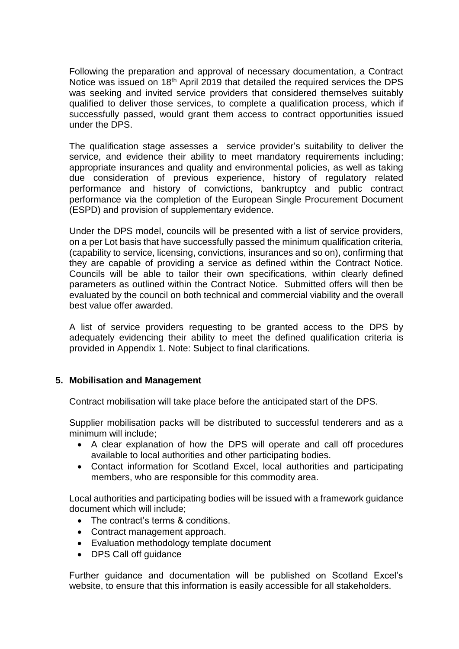Following the preparation and approval of necessary documentation, a Contract Notice was issued on 18<sup>th</sup> April 2019 that detailed the required services the DPS was seeking and invited service providers that considered themselves suitably qualified to deliver those services, to complete a qualification process, which if successfully passed, would grant them access to contract opportunities issued under the DPS.

The qualification stage assesses a service provider's suitability to deliver the service, and evidence their ability to meet mandatory requirements including; appropriate insurances and quality and environmental policies, as well as taking due consideration of previous experience, history of regulatory related performance and history of convictions, bankruptcy and public contract performance via the completion of the European Single Procurement Document (ESPD) and provision of supplementary evidence.

Under the DPS model, councils will be presented with a list of service providers, on a per Lot basis that have successfully passed the minimum qualification criteria, (capability to service, licensing, convictions, insurances and so on), confirming that they are capable of providing a service as defined within the Contract Notice. Councils will be able to tailor their own specifications, within clearly defined parameters as outlined within the Contract Notice. Submitted offers will then be evaluated by the council on both technical and commercial viability and the overall best value offer awarded.

A list of service providers requesting to be granted access to the DPS by adequately evidencing their ability to meet the defined qualification criteria is provided in Appendix 1. Note: Subject to final clarifications.

## **5. Mobilisation and Management**

Contract mobilisation will take place before the anticipated start of the DPS.

Supplier mobilisation packs will be distributed to successful tenderers and as a minimum will include;

- A clear explanation of how the DPS will operate and call off procedures available to local authorities and other participating bodies.
- Contact information for Scotland Excel, local authorities and participating members, who are responsible for this commodity area.

Local authorities and participating bodies will be issued with a framework guidance document which will include;

- The contract's terms & conditions.
- Contract management approach.
- Evaluation methodology template document
- DPS Call off quidance

Further guidance and documentation will be published on Scotland Excel's website, to ensure that this information is easily accessible for all stakeholders.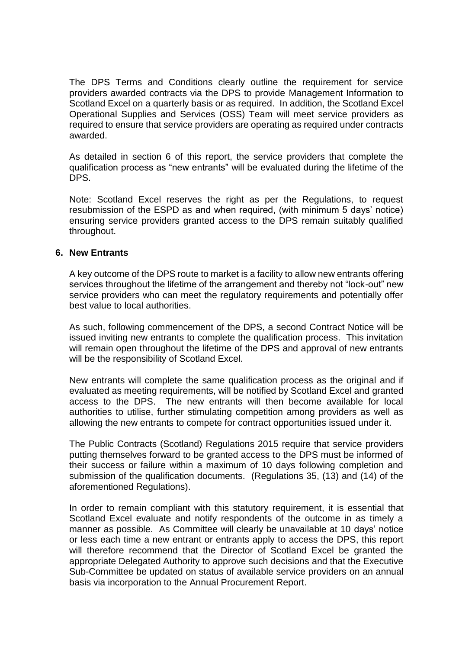The DPS Terms and Conditions clearly outline the requirement for service providers awarded contracts via the DPS to provide Management Information to Scotland Excel on a quarterly basis or as required. In addition, the Scotland Excel Operational Supplies and Services (OSS) Team will meet service providers as required to ensure that service providers are operating as required under contracts awarded.

As detailed in section 6 of this report, the service providers that complete the qualification process as "new entrants" will be evaluated during the lifetime of the DPS.

Note: Scotland Excel reserves the right as per the Regulations, to request resubmission of the ESPD as and when required, (with minimum 5 days' notice) ensuring service providers granted access to the DPS remain suitably qualified throughout.

#### **6. New Entrants**

A key outcome of the DPS route to market is a facility to allow new entrants offering services throughout the lifetime of the arrangement and thereby not "lock-out" new service providers who can meet the regulatory requirements and potentially offer best value to local authorities.

As such, following commencement of the DPS, a second Contract Notice will be issued inviting new entrants to complete the qualification process. This invitation will remain open throughout the lifetime of the DPS and approval of new entrants will be the responsibility of Scotland Excel.

New entrants will complete the same qualification process as the original and if evaluated as meeting requirements, will be notified by Scotland Excel and granted access to the DPS. The new entrants will then become available for local authorities to utilise, further stimulating competition among providers as well as allowing the new entrants to compete for contract opportunities issued under it.

The Public Contracts (Scotland) Regulations 2015 require that service providers putting themselves forward to be granted access to the DPS must be informed of their success or failure within a maximum of 10 days following completion and submission of the qualification documents. (Regulations 35, (13) and (14) of the aforementioned Regulations).

In order to remain compliant with this statutory requirement, it is essential that Scotland Excel evaluate and notify respondents of the outcome in as timely a manner as possible. As Committee will clearly be unavailable at 10 days' notice or less each time a new entrant or entrants apply to access the DPS, this report will therefore recommend that the Director of Scotland Excel be granted the appropriate Delegated Authority to approve such decisions and that the Executive Sub-Committee be updated on status of available service providers on an annual basis via incorporation to the Annual Procurement Report.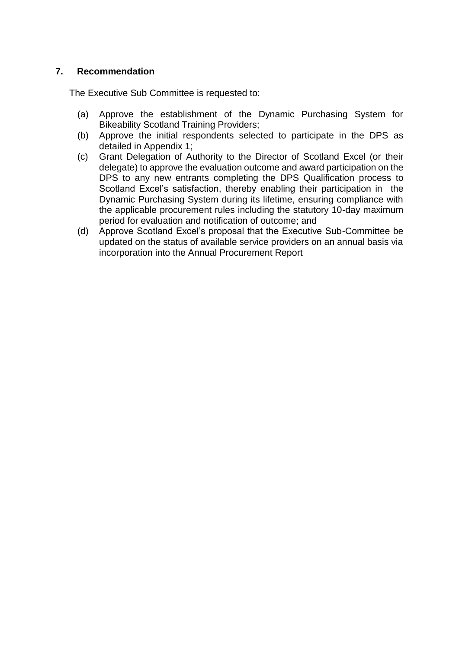## **7. Recommendation**

The Executive Sub Committee is requested to:

- (a) Approve the establishment of the Dynamic Purchasing System for Bikeability Scotland Training Providers;
- (b) Approve the initial respondents selected to participate in the DPS as detailed in Appendix 1;
- (c) Grant Delegation of Authority to the Director of Scotland Excel (or their delegate) to approve the evaluation outcome and award participation on the DPS to any new entrants completing the DPS Qualification process to Scotland Excel's satisfaction, thereby enabling their participation in the Dynamic Purchasing System during its lifetime, ensuring compliance with the applicable procurement rules including the statutory 10-day maximum period for evaluation and notification of outcome; and
- (d) Approve Scotland Excel's proposal that the Executive Sub-Committee be updated on the status of available service providers on an annual basis via incorporation into the Annual Procurement Report